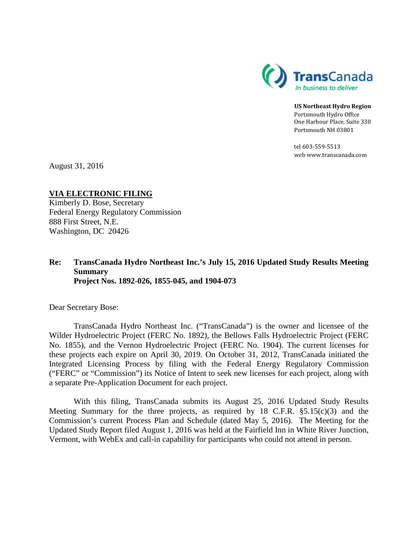

**US Northeast Hydro Region** Portsmouth Hydro Office One Harbour Place, Suite 330 Portsmouth NH 03801

tel 603-559-5513 web www.transcanada.com

August 31, 2016

# **VIA ELECTRONIC FILING**

Kimberly D. Bose, Secretary Federal Energy Regulatory Commission 888 First Street, N.E. Washington, DC 20426

#### **Re: TransCanada Hydro Northeast Inc.'s July 15, 2016 Updated Study Results Meeting Summary Project Nos. 1892-026, 1855-045, and 1904-073**

Dear Secretary Bose:

TransCanada Hydro Northeast Inc. ("TransCanada") is the owner and licensee of the Wilder Hydroelectric Project (FERC No. 1892), the Bellows Falls Hydroelectric Project (FERC No. 1855), and the Vernon Hydroelectric Project (FERC No. 1904). The current licenses for these projects each expire on April 30, 2019. On October 31, 2012, TransCanada initiated the Integrated Licensing Process by filing with the Federal Energy Regulatory Commission ("FERC" or "Commission") its Notice of Intent to seek new licenses for each project, along with a separate Pre-Application Document for each project.

With this filing, TransCanada submits its August 25, 2016 Updated Study Results Meeting Summary for the three projects, as required by 18 C.F.R.  $\S$ 5.15(c)(3) and the Commission's current Process Plan and Schedule (dated May 5, 2016). The Meeting for the Updated Study Report filed August 1, 2016 was held at the Fairfield Inn in White River Junction, Vermont, with WebEx and call-in capability for participants who could not attend in person.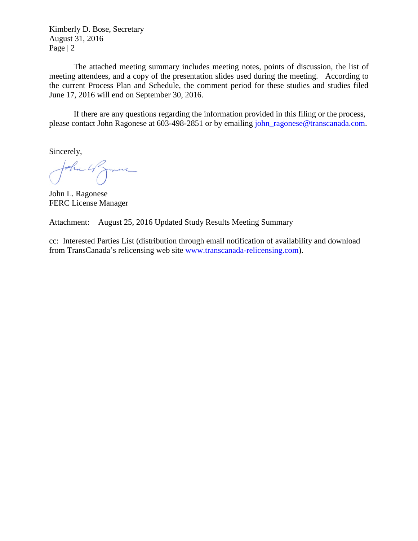Kimberly D. Bose, Secretary August 31, 2016 Page | 2

The attached meeting summary includes meeting notes, points of discussion, the list of meeting attendees, and a copy of the presentation slides used during the meeting. According to the current Process Plan and Schedule, the comment period for these studies and studies filed June 17, 2016 will end on September 30, 2016.

If there are any questions regarding the information provided in this filing or the process, please contact John Ragonese at 603-498-2851 or by emailing [john\\_ragonese@transcanada.com.](mailto:john_ragonese@transcanada.com)

Sincerely,

John 4 Zmine

John L. Ragonese FERC License Manager

Attachment: August 25, 2016 Updated Study Results Meeting Summary

cc: Interested Parties List (distribution through email notification of availability and download from TransCanada's relicensing web site [www.transcanada-relicensing.com\)](http://www.transcanada-relicensing.com/).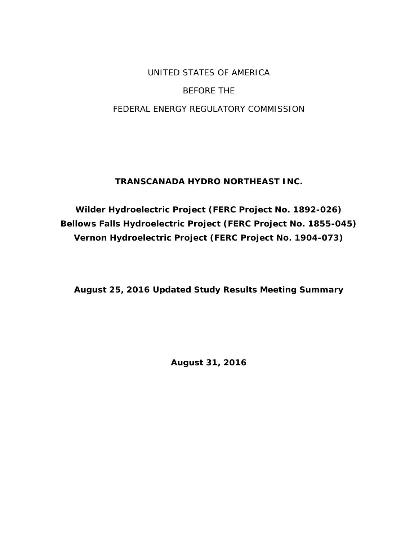# UNITED STATES OF AMERICA BEFORE THE FEDERAL ENERGY REGULATORY COMMISSION

# **TRANSCANADA HYDRO NORTHEAST INC.**

**Wilder Hydroelectric Project (FERC Project No. 1892-026) Bellows Falls Hydroelectric Project (FERC Project No. 1855-045) Vernon Hydroelectric Project (FERC Project No. 1904-073)**

**August 25, 2016 Updated Study Results Meeting Summary** 

**August 31, 2016**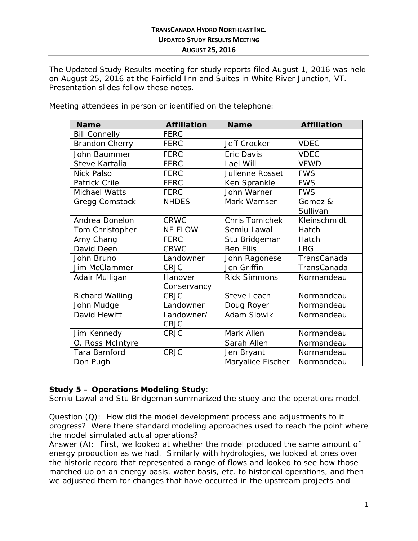The Updated Study Results meeting for study reports filed August 1, 2016 was held on August 25, 2016 at the Fairfield Inn and Suites in White River Junction, VT. Presentation slides follow these notes.

| <b>Name</b>            | <b>Affiliation</b> | <b>Name</b>         | <b>Affiliation</b> |
|------------------------|--------------------|---------------------|--------------------|
| <b>Bill Connelly</b>   | <b>FERC</b>        |                     |                    |
| <b>Brandon Cherry</b>  | <b>FERC</b>        | Jeff Crocker        | <b>VDEC</b>        |
| John Baummer           | <b>FERC</b>        | Eric Davis          | <b>VDEC</b>        |
| Steve Kartalia         | <b>FERC</b>        | Lael Will           | <b>VFWD</b>        |
| Nick Palso             | <b>FERC</b>        | Julienne Rosset     | <b>FWS</b>         |
| Patrick Crile          | <b>FERC</b>        | Ken Sprankle        | <b>FWS</b>         |
| Michael Watts          | <b>FERC</b>        | John Warner         | <b>FWS</b>         |
| Gregg Comstock         | <b>NHDES</b>       | Mark Wamser         | Gomez &            |
|                        |                    |                     | Sullivan           |
| Andrea Donelon         | <b>CRWC</b>        | Chris Tomichek      | Kleinschmidt       |
| Tom Christopher        | <b>NE FLOW</b>     | Semiu Lawal         | Hatch              |
| Amy Chang              | <b>FERC</b>        | Stu Bridgeman       | Hatch              |
| David Deen             | <b>CRWC</b>        | <b>Ben Ellis</b>    | <b>LBG</b>         |
| John Bruno             | Landowner          | John Ragonese       | TransCanada        |
| Jim McClammer          | <b>CRJC</b>        | Jen Griffin         | TransCanada        |
| Adair Mulligan         | Hanover            | <b>Rick Simmons</b> | Normandeau         |
|                        | Conservancy        |                     |                    |
| <b>Richard Walling</b> | <b>CRJC</b>        | Steve Leach         | Normandeau         |
| John Mudge             | Landowner          | Doug Royer          | Normandeau         |
| David Hewitt           | Landowner/         | Adam Slowik         | Normandeau         |
|                        | <b>CRJC</b>        |                     |                    |
| Jim Kennedy            | <b>CRJC</b>        | Mark Allen          | Normandeau         |
| O. Ross McIntyre       |                    | Sarah Allen         | Normandeau         |
| Tara Bamford           | <b>CRJC</b>        | Jen Bryant          | Normandeau         |
| Don Pugh               |                    | Maryalice Fischer   | Normandeau         |

Meeting attendees in person or identified on the telephone:

# **Study 5 – Operations Modeling Study**:

Semiu Lawal and Stu Bridgeman summarized the study and the operations model.

Question (Q): How did the model development process and adjustments to it progress? Were there standard modeling approaches used to reach the point where the model simulated actual operations?

Answer (A): First, we looked at whether the model produced the same amount of energy production as we had. Similarly with hydrologies, we looked at ones over the historic record that represented a range of flows and looked to see how those matched up on an energy basis, water basis, etc. to historical operations, and then we adjusted them for changes that have occurred in the upstream projects and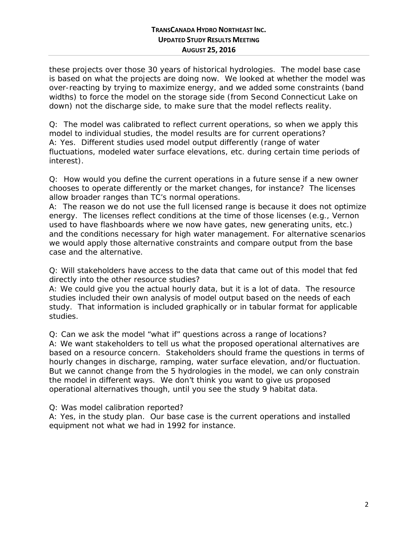these projects over those 30 years of historical hydrologies. The model base case is based on what the projects are doing now. We looked at whether the model was over-reacting by trying to maximize energy, and we added some constraints (band widths) to force the model on the storage side (from Second Connecticut Lake on down) not the discharge side, to make sure that the model reflects reality.

Q: The model was calibrated to reflect current operations, so when we apply this model to individual studies, the model results are for current operations? A: Yes. Different studies used model output differently (range of water fluctuations, modeled water surface elevations, etc. during certain time periods of interest).

Q: How would you define the current operations in a future sense if a new owner chooses to operate differently or the market changes, for instance? The licenses allow broader ranges than TC's normal operations.

A: The reason we do not use the full licensed range is because it does not optimize energy. The licenses reflect conditions at the time of those licenses (e.g., Vernon used to have flashboards where we now have gates, new generating units, etc.) and the conditions necessary for high water management. For alternative scenarios we would apply those alternative constraints and compare output from the base case and the alternative.

Q: Will stakeholders have access to the data that came out of this model that fed directly into the other resource studies?

A: We could give you the actual hourly data, but it is a lot of data. The resource studies included their own analysis of model output based on the needs of each study. That information is included graphically or in tabular format for applicable studies.

Q: Can we ask the model "what if" questions across a range of locations? A: We want stakeholders to tell us what the proposed operational alternatives are based on a resource concern. Stakeholders should frame the questions in terms of hourly changes in discharge, ramping, water surface elevation, and/or fluctuation. But we cannot change from the 5 hydrologies in the model, we can only constrain the model in different ways. We don't think you want to give us proposed operational alternatives though, until you see the study 9 habitat data.

Q: Was model calibration reported?

A: Yes, in the study plan. Our base case is the current operations and installed equipment not what we had in 1992 for instance.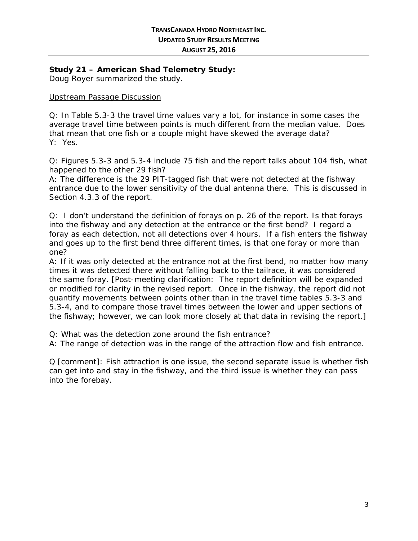#### **Study 21 – American Shad Telemetry Study:**

Doug Royer summarized the study.

#### Upstream Passage Discussion

Q: In Table 5.3-3 the travel time values vary a lot, for instance in some cases the average travel time between points is much different from the median value. Does that mean that one fish or a couple might have skewed the average data? Y: Yes.

Q: Figures 5.3-3 and 5.3-4 include 75 fish and the report talks about 104 fish, what happened to the other 29 fish?

A: The difference is the 29 PIT-tagged fish that were not detected at the fishway entrance due to the lower sensitivity of the dual antenna there. This is discussed in Section 4.3.3 of the report.

Q: I don't understand the definition of forays on p. 26 of the report. Is that forays into the fishway and any detection at the entrance or the first bend? I regard a foray as each detection, not all detections over 4 hours. If a fish enters the fishway and goes up to the first bend three different times, is that one foray or more than one?

A: If it was only detected at the entrance not at the first bend, no matter how many times it was detected there without falling back to the tailrace, it was considered the same foray. *[Post-meeting clarification: The report definition will be expanded or modified for clarity in the revised report. Once in the fishway, the report did not quantify movements between points other than in the travel time tables 5.3-3 and 5.3-4, and to compare those travel times between the lower and upper sections of the fishway; however, we can look more closely at that data in revising the report.]*

Q: What was the detection zone around the fish entrance?

A: The range of detection was in the range of the attraction flow and fish entrance.

Q [comment]: Fish attraction is one issue, the second separate issue is whether fish can get into and stay in the fishway, and the third issue is whether they can pass into the forebay.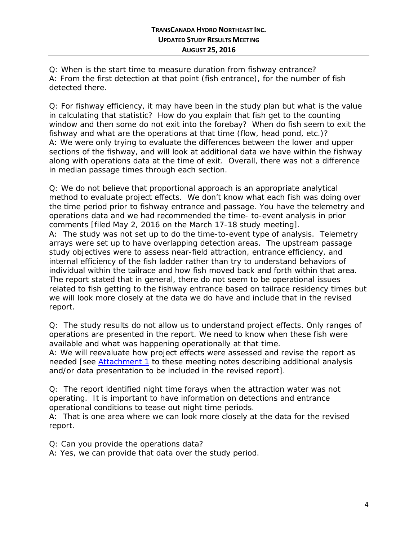Q: When is the start time to measure duration from fishway entrance? A: From the first detection at that point (fish entrance), for the number of fish detected there.

Q: For fishway efficiency, it may have been in the study plan but what is the value in calculating that statistic? How do you explain that fish get to the counting window and then some do not exit into the forebay? When do fish seem to exit the fishway and what are the operations at that time (flow, head pond, etc.)? A: We were only trying to evaluate the differences between the lower and upper sections of the fishway, and will look at additional data we have within the fishway along with operations data at the time of exit. Overall, there was not a difference in median passage times through each section.

Q: We do not believe that proportional approach is an appropriate analytical method to evaluate project effects. We don't know what each fish was doing over the time period prior to fishway entrance and passage. You have the telemetry and operations data and we had recommended the time- to-event analysis in prior comments [filed May 2, 2016 on the March 17-18 study meeting].

A: The study was not set up to do the time-to-event type of analysis. Telemetry arrays were set up to have overlapping detection areas. The upstream passage study objectives were to assess near-field attraction, entrance efficiency, and internal efficiency of the fish ladder rather than try to understand behaviors of individual within the tailrace and how fish moved back and forth within that area. The report stated that in general, there do not seem to be operational issues related to fish getting to the fishway entrance based on tailrace residency times but we will look more closely at the data we do have and include that in the revised report.

Q: The study results do not allow us to understand project effects. Only ranges of operations are presented in the report. We need to know when these fish were available and what was happening operationally at that time.

A: We will reevaluate how project effects were assessed and revise the report as needed [see [Attachment 1](#page-14-0) to these meeting notes describing additional analysis and/or data presentation to be included in the revised report].

Q: The report identified night time forays when the attraction water was not operating. It is important to have information on detections and entrance operational conditions to tease out night time periods.

A: That is one area where we can look more closely at the data for the revised report.

Q: Can you provide the operations data?

A: Yes, we can provide that data over the study period.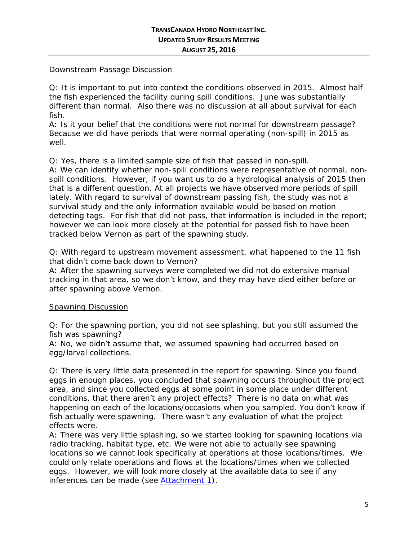#### Downstream Passage Discussion

Q: It is important to put into context the conditions observed in 2015. Almost half the fish experienced the facility during spill conditions. June was substantially different than normal. Also there was no discussion at all about survival for each fish.

A: Is it your belief that the conditions were not normal for downstream passage? Because we did have periods that were normal operating (non-spill) in 2015 as well.

Q: Yes, there is a limited sample size of fish that passed in non-spill.

A: We can identify whether non-spill conditions were representative of normal, nonspill conditions. However, if you want us to do a hydrological analysis of 2015 then that is a different question. At all projects we have observed more periods of spill lately. With regard to survival of downstream passing fish, the study was not a survival study and the only information available would be based on motion detecting tags. For fish that did not pass, that information is included in the report; however we can look more closely at the potential for passed fish to have been tracked below Vernon as part of the spawning study.

Q: With regard to upstream movement assessment, what happened to the 11 fish that didn't come back down to Vernon?

A: After the spawning surveys were completed we did not do extensive manual tracking in that area, so we don't know, and they may have died either before or after spawning above Vernon.

#### Spawning Discussion

Q: For the spawning portion, you did not see splashing, but you still assumed the fish was spawning?

A: No, we didn't assume that, we assumed spawning had occurred based on egg/larval collections.

Q: There is very little data presented in the report for spawning. Since you found eggs in enough places, you concluded that spawning occurs throughout the project area, and since you collected eggs at some point in some place under different conditions, that there aren't any project effects? There is no data on what was happening on each of the locations/occasions when you sampled. You don't know if fish actually were spawning. There wasn't any evaluation of what the project effects were.

A: There was very little splashing, so we started looking for spawning locations via radio tracking, habitat type, etc. We were not able to actually see spawning locations so we cannot look specifically at operations at those locations/times. We could only relate operations and flows at the locations/times when we collected eggs. However, we will look more closely at the available data to see if any inferences can be made (see [Attachment 1\)](#page-14-0).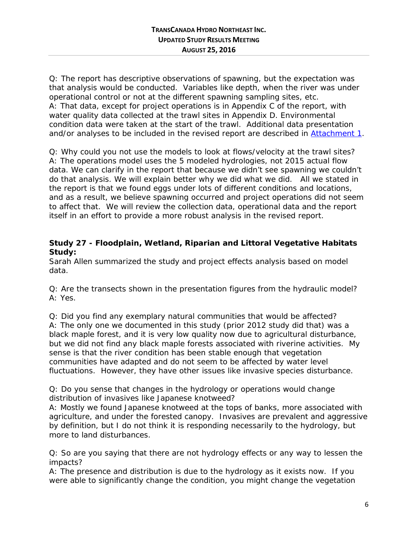Q: The report has descriptive observations of spawning, but the expectation was that analysis would be conducted. Variables like depth, when the river was under operational control or not at the different spawning sampling sites, etc. A: That data, except for project operations is in Appendix C of the report, with water quality data collected at the trawl sites in Appendix D. Environmental condition data were taken at the start of the trawl. Additional data presentation and/or analyses to be included in the revised report are described in [Attachment 1.](#page-14-0)

Q: Why could you not use the models to look at flows/velocity at the trawl sites? A: The operations model uses the 5 modeled hydrologies, not 2015 actual flow data. We can clarify in the report that because we didn't see spawning we couldn't do that analysis. We will explain better why we did what we did. All we stated in the report is that we found eggs under lots of different conditions and locations, and as a result, we believe spawning occurred and project operations did not seem to affect that. We will review the collection data, operational data and the report itself in an effort to provide a more robust analysis in the revised report.

#### **Study 27 - Floodplain, Wetland, Riparian and Littoral Vegetative Habitats Study:**

Sarah Allen summarized the study and project effects analysis based on model data.

Q: Are the transects shown in the presentation figures from the hydraulic model? A: Yes.

Q: Did you find any exemplary natural communities that would be affected? A: The only one we documented in this study (prior 2012 study did that) was a black maple forest, and it is very low quality now due to agricultural disturbance, but we did not find any black maple forests associated with riverine activities. My sense is that the river condition has been stable enough that vegetation communities have adapted and do not seem to be affected by water level fluctuations. However, they have other issues like invasive species disturbance.

Q: Do you sense that changes in the hydrology or operations would change distribution of invasives like Japanese knotweed?

A: Mostly we found Japanese knotweed at the tops of banks, more associated with agriculture, and under the forested canopy. Invasives are prevalent and aggressive by definition, but I do not think it is responding necessarily to the hydrology, but more to land disturbances.

Q: So are you saying that there are not hydrology effects or any way to lessen the impacts?

A: The presence and distribution is due to the hydrology as it exists now. If you were able to significantly change the condition, you might change the vegetation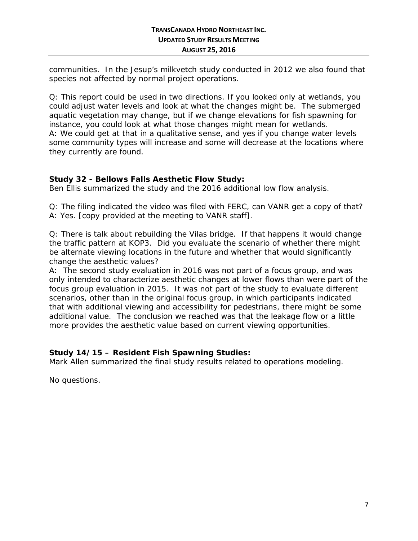communities. In the Jesup's milkvetch study conducted in 2012 we also found that species not affected by normal project operations.

Q: This report could be used in two directions. If you looked only at wetlands, you could adjust water levels and look at what the changes might be. The submerged aquatic vegetation may change, but if we change elevations for fish spawning for instance, you could look at what those changes might mean for wetlands. A: We could get at that in a qualitative sense, and yes if you change water levels some community types will increase and some will decrease at the locations where they currently are found.

#### **Study 32 - Bellows Falls Aesthetic Flow Study:**

Ben Ellis summarized the study and the 2016 additional low flow analysis.

Q: The filing indicated the video was filed with FERC, can VANR get a copy of that? A: Yes. [copy provided at the meeting to VANR staff].

Q: There is talk about rebuilding the Vilas bridge. If that happens it would change the traffic pattern at KOP3. Did you evaluate the scenario of whether there might be alternate viewing locations in the future and whether that would significantly change the aesthetic values?

A: The second study evaluation in 2016 was not part of a focus group, and was only intended to characterize aesthetic changes at lower flows than were part of the focus group evaluation in 2015. It was not part of the study to evaluate different scenarios, other than in the original focus group, in which participants indicated that with additional viewing and accessibility for pedestrians, there might be some additional value. The conclusion we reached was that the leakage flow or a little more provides the aesthetic value based on current viewing opportunities.

# **Study 14/15 – Resident Fish Spawning Studies:**

Mark Allen summarized the final study results related to operations modeling.

No questions.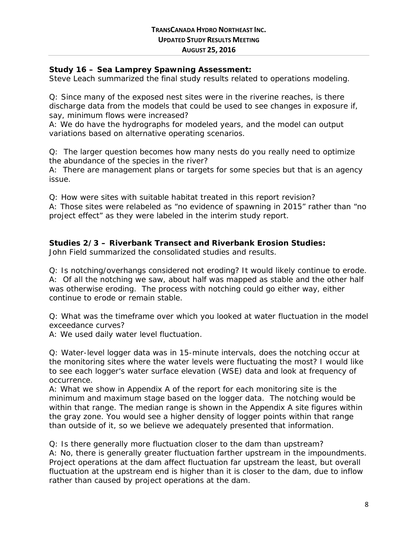#### **Study 16 – Sea Lamprey Spawning Assessment:**

Steve Leach summarized the final study results related to operations modeling.

Q: Since many of the exposed nest sites were in the riverine reaches, is there discharge data from the models that could be used to see changes in exposure if, say, minimum flows were increased?

A: We do have the hydrographs for modeled years, and the model can output variations based on alternative operating scenarios.

Q: The larger question becomes how many nests do you really need to optimize the abundance of the species in the river?

A: There are management plans or targets for some species but that is an agency issue.

Q: How were sites with suitable habitat treated in this report revision?

A: Those sites were relabeled as "no evidence of spawning in 2015" rather than "no project effect" as they were labeled in the interim study report.

#### **Studies 2/3 – Riverbank Transect and Riverbank Erosion Studies:**

John Field summarized the consolidated studies and results.

Q: Is notching/overhangs considered not eroding? It would likely continue to erode. A: Of all the notching we saw, about half was mapped as stable and the other half was otherwise eroding. The process with notching could go either way, either continue to erode or remain stable.

Q: What was the timeframe over which you looked at water fluctuation in the model exceedance curves?

A: We used daily water level fluctuation.

Q: Water-level logger data was in 15-minute intervals, does the notching occur at the monitoring sites where the water levels were fluctuating the most? I would like to see each logger's water surface elevation (WSE) data and look at frequency of occurrence.

A: What we show in Appendix A of the report for each monitoring site is the minimum and maximum stage based on the logger data. The notching would be within that range. The median range is shown in the Appendix A site figures within the gray zone. You would see a higher density of logger points within that range than outside of it, so we believe we adequately presented that information.

Q: Is there generally more fluctuation closer to the dam than upstream? A: No, there is generally greater fluctuation farther upstream in the impoundments. Project operations at the dam affect fluctuation far upstream the least, but overall fluctuation at the upstream end is higher than it is closer to the dam, due to inflow rather than caused by project operations at the dam.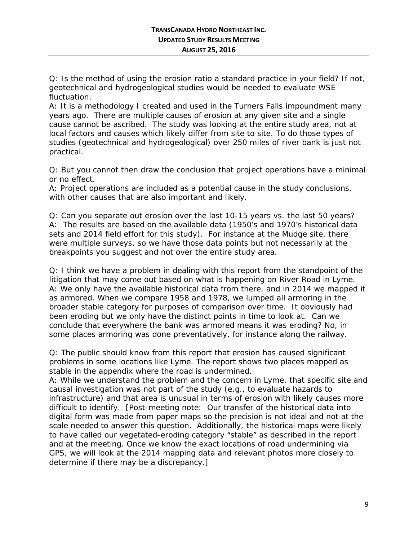Q: Is the method of using the erosion ratio a standard practice in your field? If not, geotechnical and hydrogeological studies would be needed to evaluate WSE fluctuation.

A: It is a methodology I created and used in the Turners Falls impoundment many years ago. There are multiple causes of erosion at any given site and a single cause cannot be ascribed. The study was looking at the entire study area, not at local factors and causes which likely differ from site to site. To do those types of studies (geotechnical and hydrogeological) over 250 miles of river bank is just not practical.

Q: But you cannot then draw the conclusion that project operations have a minimal or no effect.

A: Project operations are included as a potential cause in the study conclusions, with other causes that are also important and likely.

Q: Can you separate out erosion over the last 10-15 years vs. the last 50 years? A: The results are based on the available data (1950's and 1970's historical data sets and 2014 field effort for this study). For instance at the Mudge site, there were multiple surveys, so we have those data points but not necessarily at the breakpoints you suggest and not over the entire study area.

Q: I think we have a problem in dealing with this report from the standpoint of the litigation that may come out based on what is happening on River Road in Lyme. A: We only have the available historical data from there, and in 2014 we mapped it as armored. When we compare 1958 and 1978, we lumped all armoring in the broader stable category for purposes of comparison over time. It obviously had been eroding but we only have the distinct points in time to look at. Can we conclude that everywhere the bank was armored means it was eroding? No, in some places armoring was done preventatively, for instance along the railway.

Q: The public should know from this report that erosion has caused significant problems in some locations like Lyme. The report shows two places mapped as stable in the appendix where the road is undermined.

A: While we understand the problem and the concern in Lyme, that specific site and causal investigation was not part of the study (e.g., to evaluate hazards to infrastructure) and that area is unusual in terms of erosion with likely causes more difficult to identify. *[Post-meeting note: Our transfer of the historical data into digital form was made from paper maps so the precision is not ideal and not at the scale needed to answer this question. Additionally, the historical maps were likely to have called our vegetated-eroding category "stable" as described in the report and at the meeting. Once we know the exact locations of road undermining via GPS, we will look at the 2014 mapping data and relevant photos more closely to determine if there may be a discrepancy.]*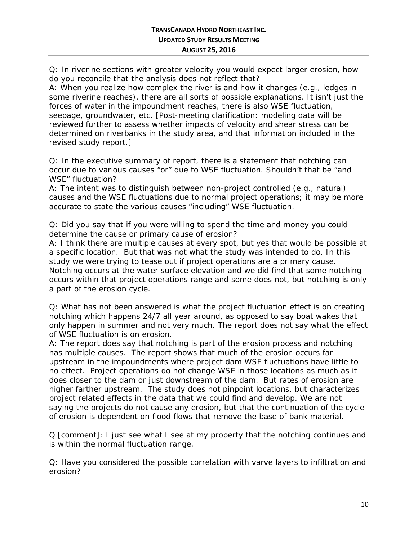Q: In riverine sections with greater velocity you would expect larger erosion, how do you reconcile that the analysis does not reflect that?

A: When you realize how complex the river is and how it changes (e.g., ledges in some riverine reaches), there are all sorts of possible explanations. It isn't just the forces of water in the impoundment reaches, there is also WSE fluctuation, seepage, groundwater, etc. [*Post-meeting clarification: modeling data will be reviewed further to assess whether impacts of velocity and shear stress can be determined on riverbanks in the study area, and that information included in the revised study report.]*

Q: In the executive summary of report, there is a statement that notching can occur due to various causes "or" due to WSE fluctuation. Shouldn't that be "and WSE" fluctuation?

A: The intent was to distinguish between non-project controlled (e.g., natural) causes and the WSE fluctuations due to normal project operations; it may be more accurate to state the various causes "including" WSE fluctuation.

Q: Did you say that if you were willing to spend the time and money you could determine the cause or primary cause of erosion?

A: I think there are multiple causes at every spot, but yes that would be possible at a specific location. But that was not what the study was intended to do. In this study we were trying to tease out if project operations are a primary cause. Notching occurs at the water surface elevation and we did find that some notching occurs within that project operations range and some does not, but notching is only a part of the erosion cycle.

Q: What has not been answered is what the project fluctuation effect is on creating notching which happens 24/7 all year around, as opposed to say boat wakes that only happen in summer and not very much. The report does not say what the effect of WSE fluctuation is on erosion.

A: The report does say that notching is part of the erosion process and notching has multiple causes. The report shows that much of the erosion occurs far upstream in the impoundments where project dam WSE fluctuations have little to no effect. Project operations do not change WSE in those locations as much as it does closer to the dam or just downstream of the dam. But rates of erosion are higher farther upstream. The study does not pinpoint locations, but characterizes project related effects in the data that we could find and develop. We are not saying the projects do not cause any erosion, but that the continuation of the cycle of erosion is dependent on flood flows that remove the base of bank material.

Q [comment]: I just see what I see at my property that the notching continues and is within the normal fluctuation range.

Q: Have you considered the possible correlation with varve layers to infiltration and erosion?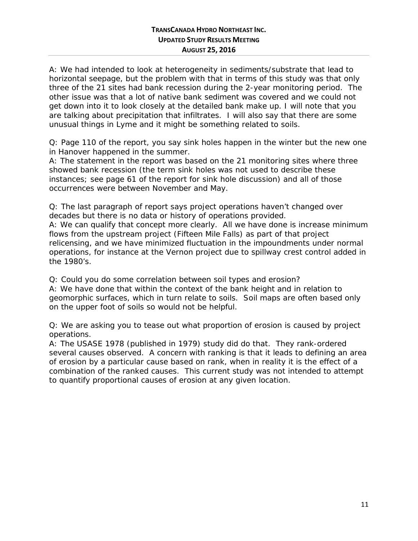A: We had intended to look at heterogeneity in sediments/substrate that lead to horizontal seepage, but the problem with that in terms of this study was that only three of the 21 sites had bank recession during the 2-year monitoring period. The other issue was that a lot of native bank sediment was covered and we could not get down into it to look closely at the detailed bank make up. I will note that you are talking about precipitation that infiltrates. I will also say that there are some unusual things in Lyme and it might be something related to soils.

Q: Page 110 of the report, you say sink holes happen in the winter but the new one in Hanover happened in the summer.

A: The statement in the report was based on the 21 monitoring sites where three showed bank recession (the term sink holes was not used to describe these instances; see page 61 of the report for sink hole discussion) and all of those occurrences were between November and May.

Q: The last paragraph of report says project operations haven't changed over decades but there is no data or history of operations provided.

A: We can qualify that concept more clearly. All we have done is increase minimum flows from the upstream project (Fifteen Mile Falls) as part of that project relicensing, and we have minimized fluctuation in the impoundments under normal operations, for instance at the Vernon project due to spillway crest control added in the 1980's.

Q: Could you do some correlation between soil types and erosion?

A: We have done that within the context of the bank height and in relation to geomorphic surfaces, which in turn relate to soils. Soil maps are often based only on the upper foot of soils so would not be helpful.

Q: We are asking you to tease out what proportion of erosion is caused by project operations.

A: The USASE 1978 (published in 1979) study did do that. They rank-ordered several causes observed. A concern with ranking is that it leads to defining an area of erosion by a particular cause based on rank, when in reality it is the effect of a combination of the ranked causes. This current study was not intended to attempt to quantify proportional causes of erosion at any given location.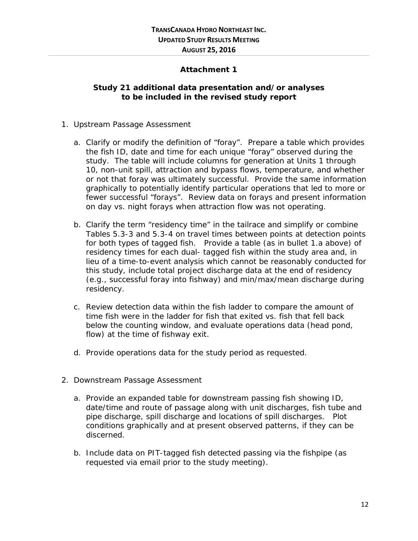#### **Attachment 1**

#### <span id="page-14-0"></span>**Study 21 additional data presentation and/or analyses to be included in the revised study report**

- 1. Upstream Passage Assessment
	- a. Clarify or modify the definition of "foray". Prepare a table which provides the fish ID, date and time for each unique "foray" observed during the study. The table will include columns for generation at Units 1 through 10, non-unit spill, attraction and bypass flows, temperature, and whether or not that foray was ultimately successful. Provide the same information graphically to potentially identify particular operations that led to more or fewer successful "forays". Review data on forays and present information on day vs. night forays when attraction flow was not operating.
	- b. Clarify the term "residency time" in the tailrace and simplify or combine Tables 5.3-3 and 5.3-4 on travel times between points at detection points for both types of tagged fish. Provide a table (as in bullet 1.a above) of residency times for each dual- tagged fish within the study area and, in lieu of a time-to-event analysis which cannot be reasonably conducted for this study, include total project discharge data at the end of residency (e.g., successful foray into fishway) and min/max/mean discharge during residency.
	- c. Review detection data within the fish ladder to compare the amount of time fish were in the ladder for fish that exited vs. fish that fell back below the counting window, and evaluate operations data (head pond, flow) at the time of fishway exit.
	- d. Provide operations data for the study period as requested.
- 2. Downstream Passage Assessment
	- a. Provide an expanded table for downstream passing fish showing ID, date/time and route of passage along with unit discharges, fish tube and pipe discharge, spill discharge and locations of spill discharges. Plot conditions graphically and at present observed patterns, if they can be discerned.
	- b. Include data on PIT-tagged fish detected passing via the fishpipe (as requested via email prior to the study meeting).